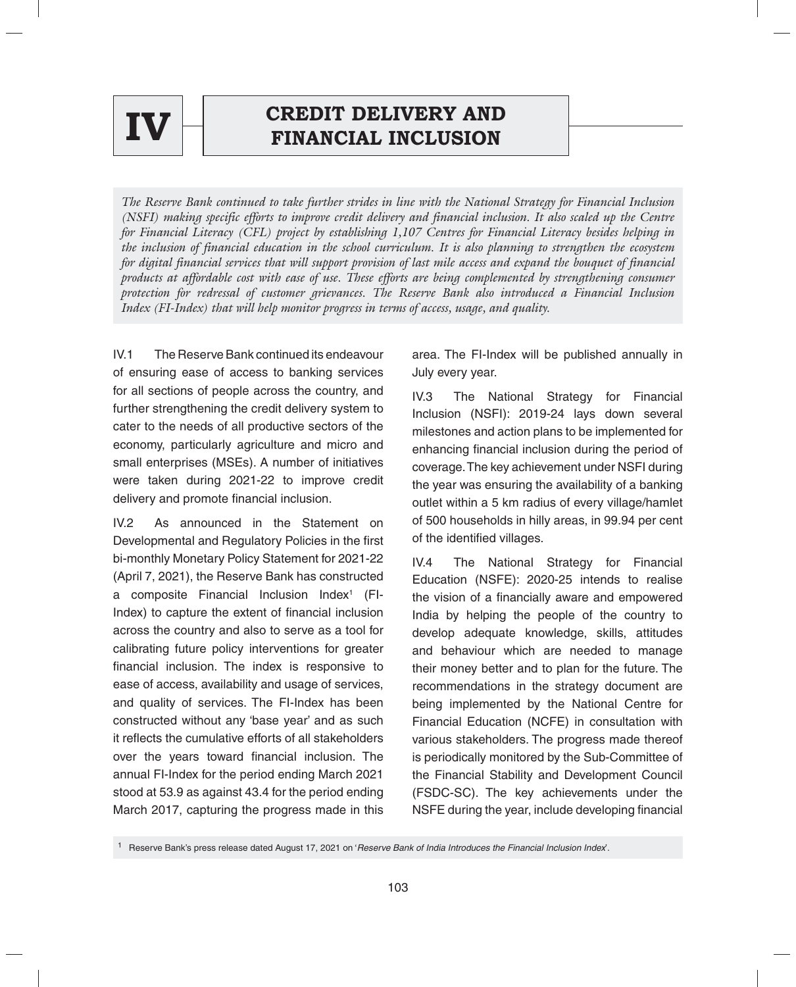

# **CREDIT DELIVERY AND**  $\mathbf{IV} \begin{matrix} \vdash \\ \vdash \end{matrix}$  **CREDIT DELIVERT AND**

*The Reserve Bank continued to take further strides in line with the National Strategy for Financial Inclusion (NSFI) making specific efforts to improve credit delivery and financial inclusion. It also scaled up the Centre for Financial Literacy (CFL) project by establishing 1,107 Centres for Financial Literacy besides helping in the inclusion of financial education in the school curriculum. It is also planning to strengthen the ecosystem for digital financial services that will support provision of last mile access and expand the bouquet of financial products at affordable cost with ease of use. These efforts are being complemented by strengthening consumer protection for redressal of customer grievances. The Reserve Bank also introduced a Financial Inclusion Index (FI-Index) that will help monitor progress in terms of access, usage, and quality.*

IV.1 The Reserve Bank continued its endeavour of ensuring ease of access to banking services for all sections of people across the country, and further strengthening the credit delivery system to cater to the needs of all productive sectors of the economy, particularly agriculture and micro and small enterprises (MSEs). A number of initiatives were taken during 2021-22 to improve credit delivery and promote financial inclusion.

IV.2 As announced in the Statement on Developmental and Regulatory Policies in the first bi-monthly Monetary Policy Statement for 2021-22 (April 7, 2021), the Reserve Bank has constructed a composite Financial Inclusion Index<sup>1</sup> (FI-Index) to capture the extent of financial inclusion across the country and also to serve as a tool for calibrating future policy interventions for greater financial inclusion. The index is responsive to ease of access, availability and usage of services, and quality of services. The FI-Index has been constructed without any 'base year' and as such it reflects the cumulative efforts of all stakeholders over the years toward financial inclusion. The annual FI-Index for the period ending March 2021 stood at 53.9 as against 43.4 for the period ending March 2017, capturing the progress made in this

area. The FI-Index will be published annually in July every year.

IV.3 The National Strategy for Financial Inclusion (NSFI): 2019-24 lays down several milestones and action plans to be implemented for enhancing financial inclusion during the period of coverage. The key achievement under NSFI during the year was ensuring the availability of a banking outlet within a 5 km radius of every village/hamlet of 500 households in hilly areas, in 99.94 per cent of the identified villages.

IV.4 The National Strategy for Financial Education (NSFE): 2020-25 intends to realise the vision of a financially aware and empowered India by helping the people of the country to develop adequate knowledge, skills, attitudes and behaviour which are needed to manage their money better and to plan for the future. The recommendations in the strategy document are being implemented by the National Centre for Financial Education (NCFE) in consultation with various stakeholders. The progress made thereof is periodically monitored by the Sub-Committee of the Financial Stability and Development Council (FSDC-SC). The key achievements under the NSFE during the year, include developing financial

<sup>1</sup> Reserve Bank's press release dated August 17, 2021 on '*Reserve Bank of India Introduces the Financial Inclusion Index*'.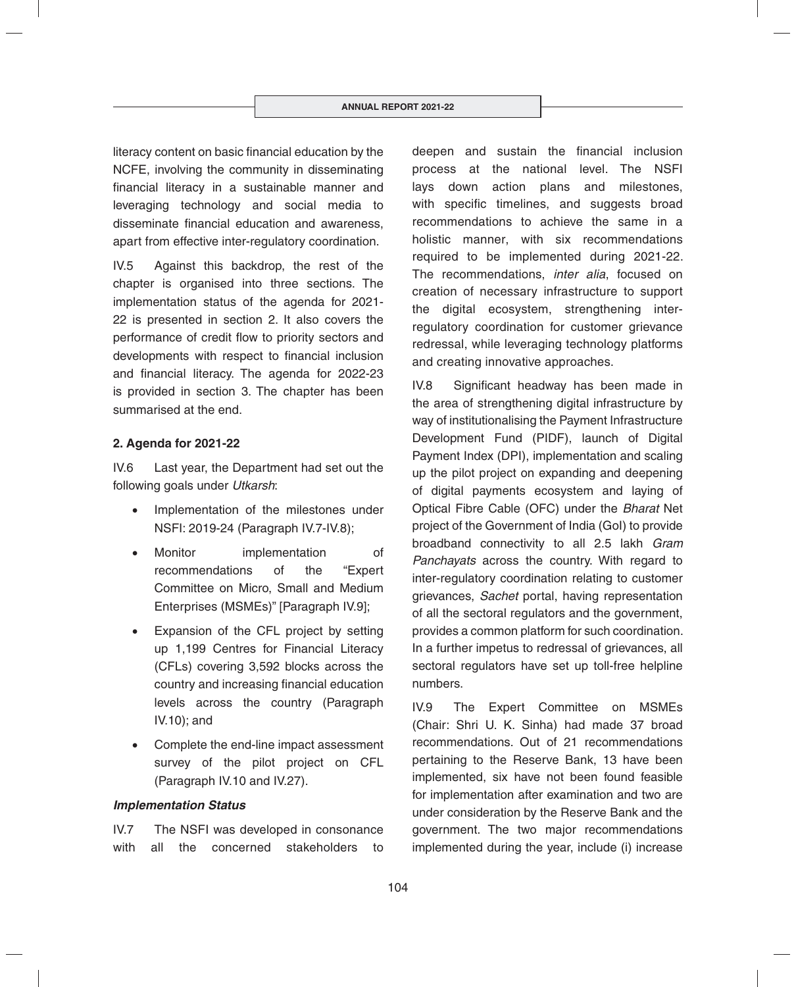literacy content on basic financial education by the NCFE, involving the community in disseminating financial literacy in a sustainable manner and leveraging technology and social media to disseminate financial education and awareness, apart from effective inter-regulatory coordination.

IV.5 Against this backdrop, the rest of the chapter is organised into three sections. The implementation status of the agenda for 2021- 22 is presented in section 2. It also covers the performance of credit flow to priority sectors and developments with respect to financial inclusion and financial literacy. The agenda for 2022-23 is provided in section 3. The chapter has been summarised at the end.

### **2. Agenda for 2021-22**

IV.6 Last year, the Department had set out the following goals under *Utkarsh*:

- Implementation of the milestones under NSFI: 2019-24 (Paragraph IV.7-IV.8);
- Monitor implementation of recommendations of the "Expert Committee on Micro, Small and Medium Enterprises (MSMEs)" [Paragraph IV.9];
- Expansion of the CFL project by setting up 1,199 Centres for Financial Literacy (CFLs) covering 3,592 blocks across the country and increasing financial education levels across the country (Paragraph IV.10); and
- Complete the end-line impact assessment survey of the pilot project on CFL (Paragraph IV.10 and IV.27).

### *Implementation Status*

IV.7 The NSFI was developed in consonance with all the concerned stakeholders to deepen and sustain the financial inclusion process at the national level. The NSFI lays down action plans and milestones, with specific timelines, and suggests broad recommendations to achieve the same in a holistic manner, with six recommendations required to be implemented during 2021-22. The recommendations, *inter alia*, focused on creation of necessary infrastructure to support the digital ecosystem, strengthening interregulatory coordination for customer grievance redressal, while leveraging technology platforms and creating innovative approaches.

IV.8 Significant headway has been made in the area of strengthening digital infrastructure by way of institutionalising the Payment Infrastructure Development Fund (PIDF), launch of Digital Payment Index (DPI), implementation and scaling up the pilot project on expanding and deepening of digital payments ecosystem and laying of Optical Fibre Cable (OFC) under the *Bharat* Net project of the Government of India (GoI) to provide broadband connectivity to all 2.5 lakh *Gram Panchayats* across the country. With regard to inter-regulatory coordination relating to customer grievances, *Sachet* portal, having representation of all the sectoral regulators and the government, provides a common platform for such coordination. In a further impetus to redressal of grievances, all sectoral regulators have set up toll-free helpline numbers.

IV.9 The Expert Committee on MSMEs (Chair: Shri U. K. Sinha) had made 37 broad recommendations. Out of 21 recommendations pertaining to the Reserve Bank, 13 have been implemented, six have not been found feasible for implementation after examination and two are under consideration by the Reserve Bank and the government. The two major recommendations implemented during the year, include (i) increase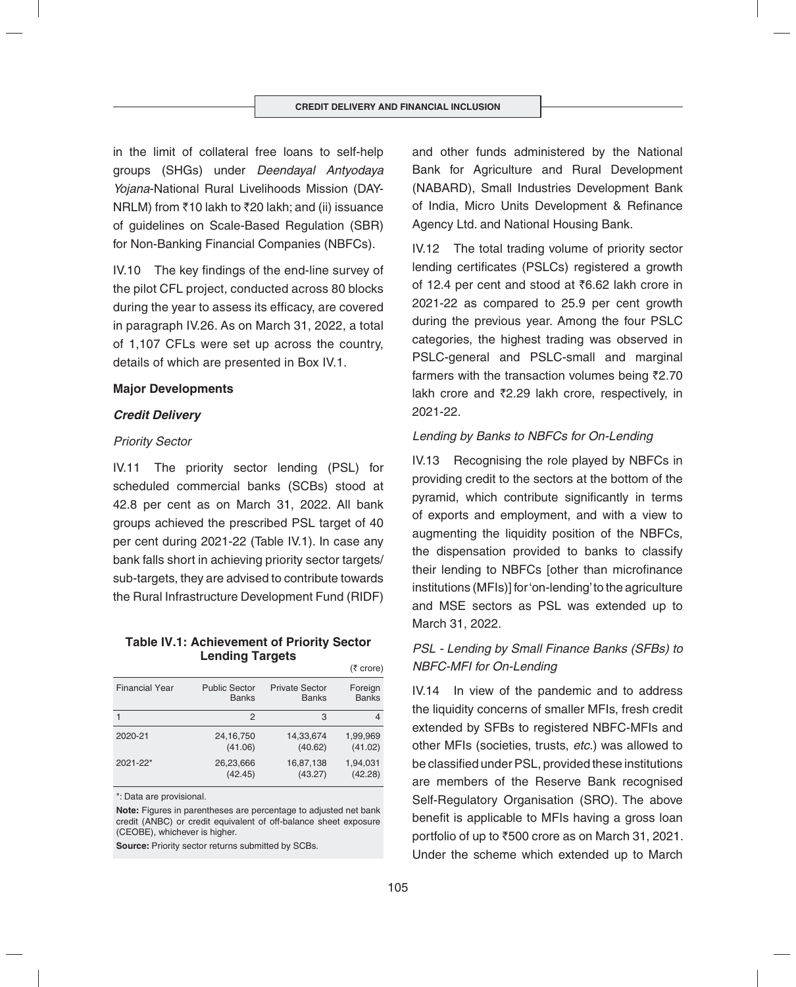in the limit of collateral free loans to self-help groups (SHGs) under *Deendayal Antyodaya Yojana*-National Rural Livelihoods Mission (DAY-NRLM) from  $\bar{\tau}$ 10 lakh to  $\bar{\tau}$ 20 lakh; and (ii) issuance of guidelines on Scale-Based Regulation (SBR) for Non-Banking Financial Companies (NBFCs).

IV.10 The key findings of the end-line survey of the pilot CFL project, conducted across 80 blocks during the year to assess its efficacy, are covered in paragraph IV.26. As on March 31, 2022, a total of 1,107 CFLs were set up across the country, details of which are presented in Box IV.1.

### **Major Developments**

### *Credit Delivery*

### *Priority Sector*

IV.11 The priority sector lending (PSL) for scheduled commercial banks (SCBs) stood at 42.8 per cent as on March 31, 2022. All bank groups achieved the prescribed PSL target of 40 per cent during 2021-22 (Table IV.1). In case any bank falls short in achieving priority sector targets/ sub-targets, they are advised to contribute towards the Rural Infrastructure Development Fund (RIDF)

#### **Table IV.1: Achievement of Priority Sector Lending Targets**  $(7 \text{ arc})$

|                       |                      |                       | $(1$ $UUU$   |
|-----------------------|----------------------|-----------------------|--------------|
| <b>Financial Year</b> | <b>Public Sector</b> | <b>Private Sector</b> | Foreign      |
|                       | <b>Banks</b>         | <b>Banks</b>          | <b>Banks</b> |
|                       | 2                    | 3                     | 4            |
| 2020-21               | 24, 16, 750          | 14,33,674             | 1,99,969     |
|                       | (41.06)              | (40.62)               | (41.02)      |
| $2021 - 22*$          | 26,23,666            | 16,87,138             | 1,94,031     |
|                       | (42.45)              | (43.27)               | (42.28)      |

\*: Data are provisional.

**Note:** Figures in parentheses are percentage to adjusted net bank credit (ANBC) or credit equivalent of off-balance sheet exposure (CEOBE), whichever is higher.

**Source:** Priority sector returns submitted by SCBs.

and other funds administered by the National Bank for Agriculture and Rural Development (NABARD), Small Industries Development Bank of India, Micro Units Development & Refinance Agency Ltd. and National Housing Bank.

IV.12 The total trading volume of priority sector lending certificates (PSLCs) registered a growth of 12.4 per cent and stood at  $\bar{c}6.62$  lakh crore in 2021-22 as compared to 25.9 per cent growth during the previous year. Among the four PSLC categories, the highest trading was observed in PSLC-general and PSLC-small and marginal farmers with the transaction volumes being  $\bar{z}2.70$ lakh crore and  $\overline{z}2.29$  lakh crore, respectively, in 2021-22.

#### *Lending by Banks to NBFCs for On-Lending*

IV.13 Recognising the role played by NBFCs in providing credit to the sectors at the bottom of the pyramid, which contribute significantly in terms of exports and employment, and with a view to augmenting the liquidity position of the NBFCs, the dispensation provided to banks to classify their lending to NBFCs [other than microfinance institutions (MFIs)] for 'on-lending' to the agriculture and MSE sectors as PSL was extended up to March 31, 2022.

# *PSL - Lending by Small Finance Banks (SFBs) to NBFC-MFI for On-Lending*

IV.14 In view of the pandemic and to address the liquidity concerns of smaller MFIs, fresh credit extended by SFBs to registered NBFC-MFIs and other MFIs (societies, trusts, *etc.*) was allowed to be classified under PSL, provided these institutions are members of the Reserve Bank recognised Self-Regulatory Organisation (SRO). The above benefit is applicable to MFIs having a gross loan portfolio of up to  $\overline{500}$  crore as on March 31, 2021. Under the scheme which extended up to March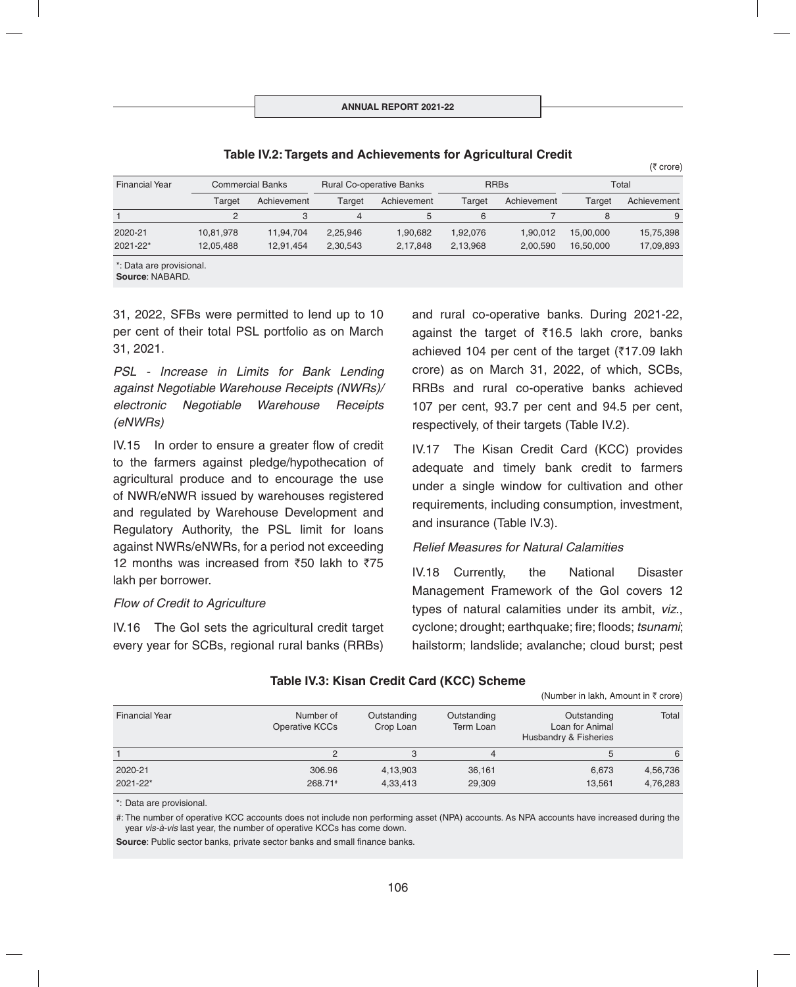| <b>Financial Year</b> | <b>Commercial Banks</b> |             | <b>Rural Co-operative Banks</b> |             | <b>RRBs</b> |             | Total     |             |
|-----------------------|-------------------------|-------------|---------------------------------|-------------|-------------|-------------|-----------|-------------|
|                       | Target                  | Achievement | Target                          | Achievement | Target      | Achievement | Target    | Achievement |
|                       | 2                       | 3           | $\overline{4}$                  | 5           | 6           |             | 8         | 9           |
| 2020-21               | 10,81,978               | 11,94,704   | 2,25,946                        | 1,90,682    | 1,92,076    | 1,90,012    | 15,00,000 | 15,75,398   |
| 2021-22*              | 12,05,488               | 12.91.454   | 2,30,543                        | 2,17,848    | 2,13,968    | 2,00,590    | 16,50,000 | 17,09,893   |

**Table IV.2: Targets and Achievements for Agricultural Credit**

**Source**: NABARD.

31, 2022, SFBs were permitted to lend up to 10 per cent of their total PSL portfolio as on March 31, 2021.

*PSL - Increase in Limits for Bank Lending against Negotiable Warehouse Receipts (NWRs)/ electronic Negotiable Warehouse Receipts (eNWRs)*

IV.15 In order to ensure a greater flow of credit to the farmers against pledge/hypothecation of agricultural produce and to encourage the use of NWR/eNWR issued by warehouses registered and regulated by Warehouse Development and Regulatory Authority, the PSL limit for loans against NWRs/eNWRs, for a period not exceeding 12 months was increased from  $\overline{50}$  lakh to  $\overline{575}$ lakh per borrower.

### *Flow of Credit to Agriculture*

IV.16 The GoI sets the agricultural credit target every year for SCBs, regional rural banks (RRBs) and rural co-operative banks. During 2021-22, against the target of  $\bar{\tau}$ 16.5 lakh crore, banks achieved 104 per cent of the target ( $\overline{517.09}$  lakh crore) as on March 31, 2022, of which, SCBs, RRBs and rural co-operative banks achieved 107 per cent, 93.7 per cent and 94.5 per cent, respectively, of their targets (Table IV.2).

IV.17 The Kisan Credit Card (KCC) provides adequate and timely bank credit to farmers under a single window for cultivation and other requirements, including consumption, investment, and insurance (Table IV.3).

### *Relief Measures for Natural Calamities*

IV.18 Currently, the National Disaster Management Framework of the GoI covers 12 types of natural calamities under its ambit, *viz*., cyclone; drought; earthquake; fire; floods; *tsunami*; hailstorm; landslide; avalanche; cloud burst; pest

 $(Nu$ mber in lakh, Amount in  $\bar{x}$  erare)

|                       |                             |                          |                          | $\mu$ and $\mu$ is the set of $\mu$ and $\mu$ and $\mu$ and $\mu$ |                      |
|-----------------------|-----------------------------|--------------------------|--------------------------|-------------------------------------------------------------------|----------------------|
| <b>Financial Year</b> | Number of<br>Operative KCCs | Outstanding<br>Crop Loan | Outstanding<br>Term Loan | Outstanding<br>Loan for Animal<br>Husbandry & Fisheries           | Total                |
|                       |                             |                          | 4                        |                                                                   | 6                    |
| 2020-21<br>2021-22*   | 306.96<br>268.71#           | 4,13,903<br>4,33,413     | 36,161<br>29,309         | 6.673<br>13.561                                                   | 4,56,736<br>4,76,283 |

# **Table IV.3: Kisan Credit Card (KCC) Scheme**

\*: Data are provisional.

#: The number of operative KCC accounts does not include non performing asset (NPA) accounts. As NPA accounts have increased during the year *vis-à-vis* last year, the number of operative KCCs has come down.

**Source:** Public sector banks, private sector banks and small finance banks.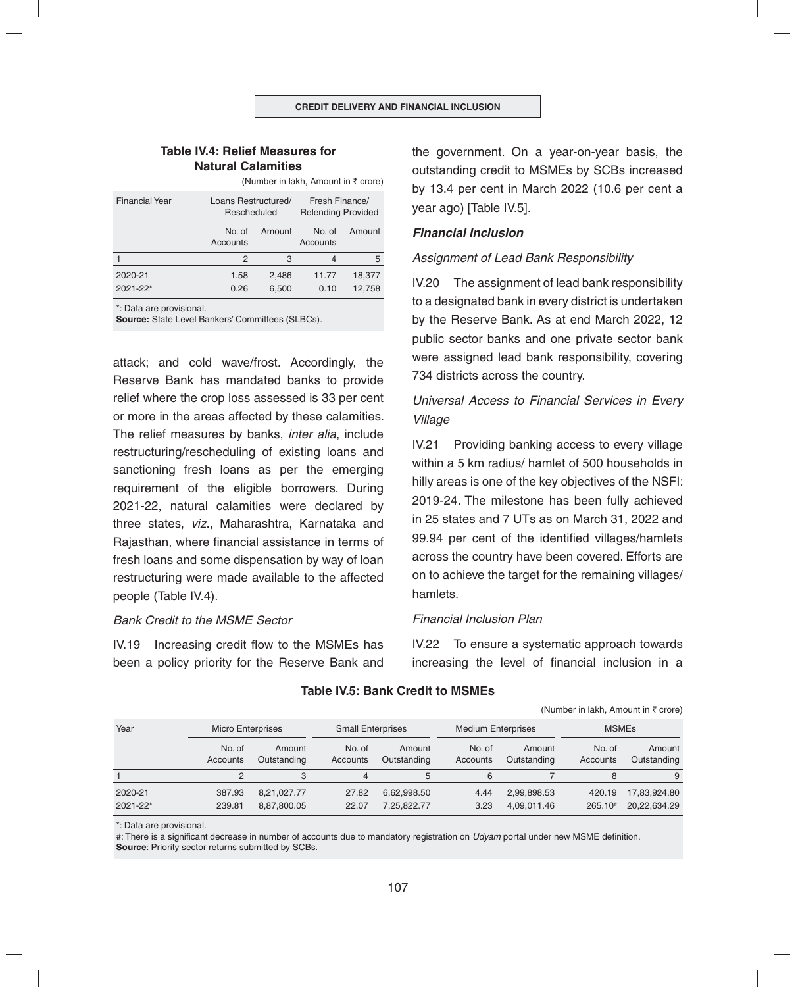### **Table IV.4: Relief Measures for Natural Calamities**

|                       | $\mu$ and $\sigma$ in the set of $\mu$ in the set of $\sigma$ in the set of $\sigma$ |        |                                             |        |  |  |
|-----------------------|--------------------------------------------------------------------------------------|--------|---------------------------------------------|--------|--|--|
| <b>Financial Year</b> | Loans Restructured/<br>Rescheduled                                                   |        | Fresh Finance/<br><b>Relending Provided</b> |        |  |  |
|                       | No. of<br>Accounts                                                                   | Amount | No. of<br>Accounts                          | Amount |  |  |
|                       | 2                                                                                    | 3      | 4                                           | 5      |  |  |
| 2020-21               | 1.58                                                                                 | 2,486  | 11.77                                       | 18,377 |  |  |
| 2021-22*              | 0.26                                                                                 | 6,500  | 0.10                                        | 12,758 |  |  |

(Number in lakh, Amount in  $\bar{\tau}$  crore)

\*: Data are provisional.

**Source:** State Level Bankers' Committees (SLBCs).

attack; and cold wave/frost. Accordingly, the Reserve Bank has mandated banks to provide relief where the crop loss assessed is 33 per cent or more in the areas affected by these calamities. The relief measures by banks, *inter alia*, include restructuring/rescheduling of existing loans and sanctioning fresh loans as per the emerging requirement of the eligible borrowers. During 2021-22, natural calamities were declared by three states, *viz*., Maharashtra, Karnataka and Rajasthan, where financial assistance in terms of fresh loans and some dispensation by way of loan restructuring were made available to the affected people (Table IV.4).

### *Bank Credit to the MSME Sector*

IV.19 Increasing credit flow to the MSMEs has been a policy priority for the Reserve Bank and the government. On a year-on-year basis, the outstanding credit to MSMEs by SCBs increased by 13.4 per cent in March 2022 (10.6 per cent a year ago) [Table IV.5].

### *Financial Inclusion*

### *Assignment of Lead Bank Responsibility*

IV.20 The assignment of lead bank responsibility to a designated bank in every district is undertaken by the Reserve Bank. As at end March 2022, 12 public sector banks and one private sector bank were assigned lead bank responsibility, covering 734 districts across the country.

# *Universal Access to Financial Services in Every Village*

IV.21 Providing banking access to every village within a 5 km radius/ hamlet of 500 households in hilly areas is one of the key objectives of the NSFI: 2019-24. The milestone has been fully achieved in 25 states and 7 UTs as on March 31, 2022 and 99.94 per cent of the identified villages/hamlets across the country have been covered. Efforts are on to achieve the target for the remaining villages/ hamlets.

#### *Financial Inclusion Plan*

IV.22 To ensure a systematic approach towards increasing the level of financial inclusion in a

(Number in lakh, Amount in  $\bar{z}$  crore)

| Year                | <b>Micro Enterprises</b> |                            | <b>Small Enterprises</b> |                            | <b>Medium Enterprises</b> |                            |                     | <b>MSMEs</b>                 |  |
|---------------------|--------------------------|----------------------------|--------------------------|----------------------------|---------------------------|----------------------------|---------------------|------------------------------|--|
|                     | No. of<br>Accounts       | Amount<br>Outstanding      | No. of<br>Accounts       | Amount<br>Outstanding      | No. of<br>Accounts        | Amount<br>Outstanding      | No. of<br>Accounts  | Amount<br>Outstanding        |  |
|                     | 2                        | 3                          |                          |                            | 6                         |                            |                     | 9                            |  |
| 2020-21<br>2021-22* | 387.93<br>239.81         | 8,21,027.77<br>8,87,800.05 | 27.82<br>22.07           | 6,62,998.50<br>7,25,822.77 | 4.44<br>3.23              | 2,99,898.53<br>4,09,011.46 | 420.19<br>$265.10*$ | 17,83,924.80<br>20,22,634.29 |  |

#### **Table IV.5: Bank Credit to MSMEs**

\*: Data are provisional.

#: There is a significant decrease in number of accounts due to mandatory registration on *Udyam* portal under new MSME definition. **Source**: Priority sector returns submitted by SCBs.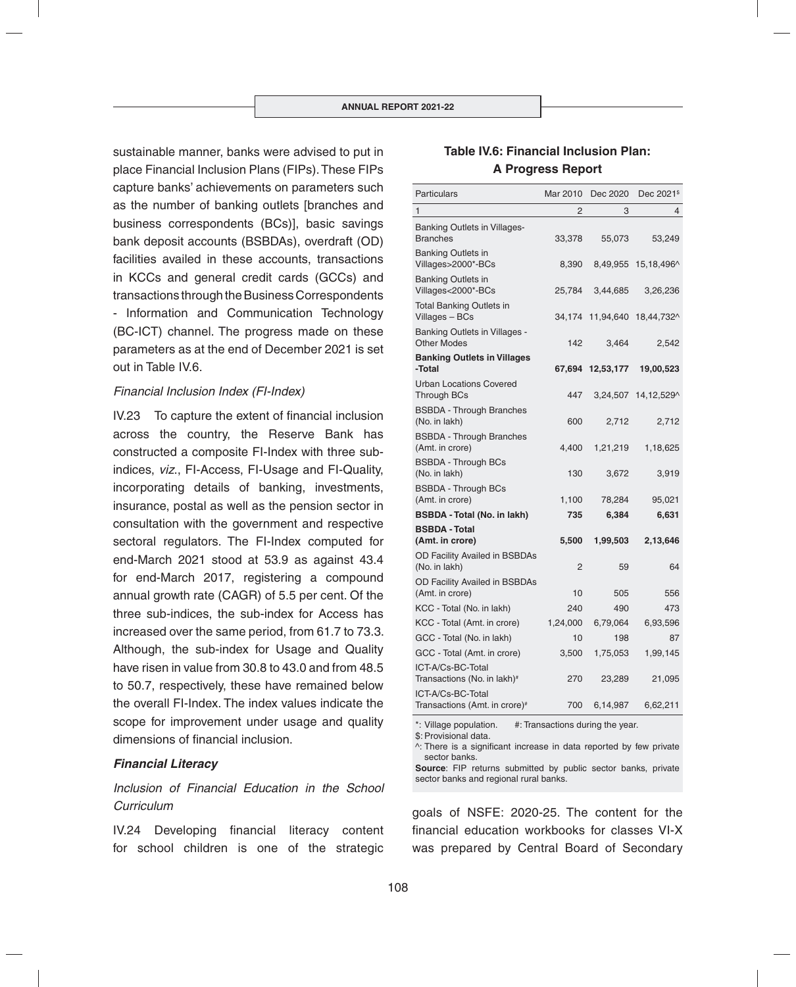sustainable manner, banks were advised to put in place Financial Inclusion Plans (FIPs). These FIPs capture banks' achievements on parameters such as the number of banking outlets [branches and business correspondents (BCs)], basic savings bank deposit accounts (BSBDAs), overdraft (OD) facilities availed in these accounts, transactions in KCCs and general credit cards (GCCs) and transactions through the Business Correspondents - Information and Communication Technology (BC-ICT) channel. The progress made on these parameters as at the end of December 2021 is set out in Table IV.6.

#### *Financial Inclusion Index (FI-Index)*

IV.23 To capture the extent of financial inclusion across the country, the Reserve Bank has constructed a composite FI-Index with three subindices, *viz*., FI-Access, FI-Usage and FI-Quality, incorporating details of banking, investments, insurance, postal as well as the pension sector in consultation with the government and respective sectoral regulators. The FI-Index computed for end-March 2021 stood at 53.9 as against 43.4 for end-March 2017, registering a compound annual growth rate (CAGR) of 5.5 per cent. Of the three sub-indices, the sub-index for Access has increased over the same period, from 61.7 to 73.3. Although, the sub-index for Usage and Quality have risen in value from 30.8 to 43.0 and from 48.5 to 50.7, respectively, these have remained below the overall FI-Index. The index values indicate the scope for improvement under usage and quality dimensions of financial inclusion.

#### *Financial Literacy*

# *Inclusion of Financial Education in the School Curriculum*

IV.24 Developing financial literacy content for school children is one of the strategic

# **Table IV.6: Financial Inclusion Plan: A Progress Report**

| <b>Particulars</b>                                         | Mar 2010 | Dec 2020         | Dec 2021 <sup>\$</sup> |
|------------------------------------------------------------|----------|------------------|------------------------|
| $\mathbf{1}$                                               | 2        | 3                | 4                      |
| Banking Outlets in Villages-<br><b>Branches</b>            | 33,378   | 55,073           | 53,249                 |
| <b>Banking Outlets in</b><br>Villages>2000*-BCs            | 8,390    | 8,49,955         | 15,18,496^             |
| <b>Banking Outlets in</b><br>Villages<2000*-BCs            | 25,784   | 3,44,685         | 3,26,236               |
| <b>Total Banking Outlets in</b><br>Villages - BCs          | 34,174   | 11,94,640        | 18,44,732^             |
| <b>Banking Outlets in Villages -</b><br><b>Other Modes</b> | 142      | 3,464            | 2,542                  |
| <b>Banking Outlets in Villages</b><br>-Total               |          | 67,694 12,53,177 | 19,00,523              |
| <b>Urban Locations Covered</b><br><b>Through BCs</b>       | 447      | 3,24,507         | 14, 12, 529^           |
| <b>BSBDA - Through Branches</b><br>(No. in lakh)           | 600      | 2,712            | 2,712                  |
| <b>BSBDA - Through Branches</b><br>(Amt. in crore)         | 4,400    | 1,21,219         | 1,18,625               |
| <b>BSBDA - Through BCs</b><br>(No. in lakh)                | 130      | 3,672            | 3,919                  |
| <b>BSBDA - Through BCs</b><br>(Amt. in crore)              | 1,100    | 78,284           | 95,021                 |
| <b>BSBDA - Total (No. in lakh)</b>                         | 735      | 6,384            | 6,631                  |
| <b>BSBDA - Total</b><br>(Amt. in crore)                    | 5,500    | 1,99,503         | 2,13,646               |
| OD Facility Availed in BSBDAs<br>(No. in lakh)             | 2        | 59               | 64                     |
| OD Facility Availed in BSBDAs<br>(Amt. in crore)           | 10       | 505              | 556                    |
| KCC - Total (No. in lakh)                                  | 240      | 490              | 473                    |
| KCC - Total (Amt. in crore)                                | 1,24,000 | 6,79,064         | 6,93,596               |
| GCC - Total (No. in lakh)                                  | 10       | 198              | 87                     |
| GCC - Total (Amt. in crore)                                | 3,500    | 1,75,053         | 1,99,145               |
| ICT-A/Cs-BC-Total<br>Transactions (No. in lakh)#           | 270      | 23,289           | 21,095                 |
| ICT-A/Cs-BC-Total<br>Transactions (Amt. in crore)#         | 700      | 6,14,987         | 6,62,211               |

\*: Village population. #: Transactions during the year.

\$: Provisional data.

 $\wedge$ : There is a significant increase in data reported by few private sector banks.

**Source**: FIP returns submitted by public sector banks, private sector banks and regional rural banks.

goals of NSFE: 2020-25. The content for the financial education workbooks for classes VI-X was prepared by Central Board of Secondary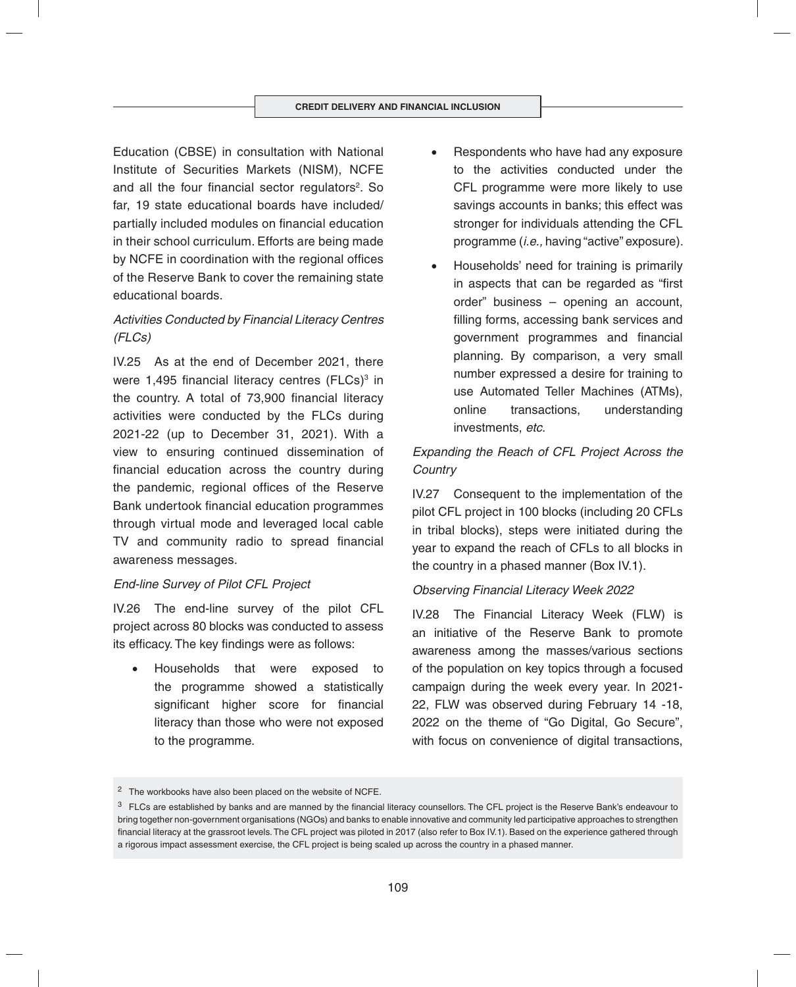Education (CBSE) in consultation with National Institute of Securities Markets (NISM), NCFE and all the four financial sector regulators<sup>2</sup>. So far, 19 state educational boards have included/ partially included modules on financial education in their school curriculum. Efforts are being made by NCFE in coordination with the regional offices of the Reserve Bank to cover the remaining state educational boards.

# *Activities Conducted by Financial Literacy Centres (FLCs)*

IV.25 As at the end of December 2021, there were 1,495 financial literacy centres (FLCs)<sup>3</sup> in the country. A total of 73,900 financial literacy activities were conducted by the FLCs during 2021-22 (up to December 31, 2021). With a view to ensuring continued dissemination of financial education across the country during the pandemic, regional offices of the Reserve Bank undertook financial education programmes through virtual mode and leveraged local cable TV and community radio to spread financial awareness messages.

### *End-line Survey of Pilot CFL Project*

IV.26 The end-line survey of the pilot CFL project across 80 blocks was conducted to assess its efficacy. The key findings were as follows:

 Households that were exposed to the programme showed a statistically significant higher score for financial literacy than those who were not exposed to the programme.

- Respondents who have had any exposure to the activities conducted under the CFL programme were more likely to use savings accounts in banks; this effect was stronger for individuals attending the CFL programme (*i.e.,* having "active" exposure).
- Households' need for training is primarily in aspects that can be regarded as "first order" business – opening an account, filling forms, accessing bank services and government programmes and financial planning. By comparison, a very small number expressed a desire for training to use Automated Teller Machines (ATMs), online transactions, understanding investments, *etc*.

# *Expanding the Reach of CFL Project Across the Country*

IV.27 Consequent to the implementation of the pilot CFL project in 100 blocks (including 20 CFLs in tribal blocks), steps were initiated during the year to expand the reach of CFLs to all blocks in the country in a phased manner (Box IV.1).

### *Observing Financial Literacy Week 2022*

IV.28 The Financial Literacy Week (FLW) is an initiative of the Reserve Bank to promote awareness among the masses/various sections of the population on key topics through a focused campaign during the week every year. In 2021- 22, FLW was observed during February 14 -18, 2022 on the theme of "Go Digital, Go Secure", with focus on convenience of digital transactions,

<sup>2</sup> The workbooks have also been placed on the website of NCFE.

<sup>&</sup>lt;sup>3</sup> FLCs are established by banks and are manned by the financial literacy counsellors. The CFL project is the Reserve Bank's endeavour to bring together non-government organisations (NGOs) and banks to enable innovative and community led participative approaches to strengthen financial literacy at the grassroot levels. The CFL project was piloted in 2017 (also refer to Box IV.1). Based on the experience gathered through a rigorous impact assessment exercise, the CFL project is being scaled up across the country in a phased manner.